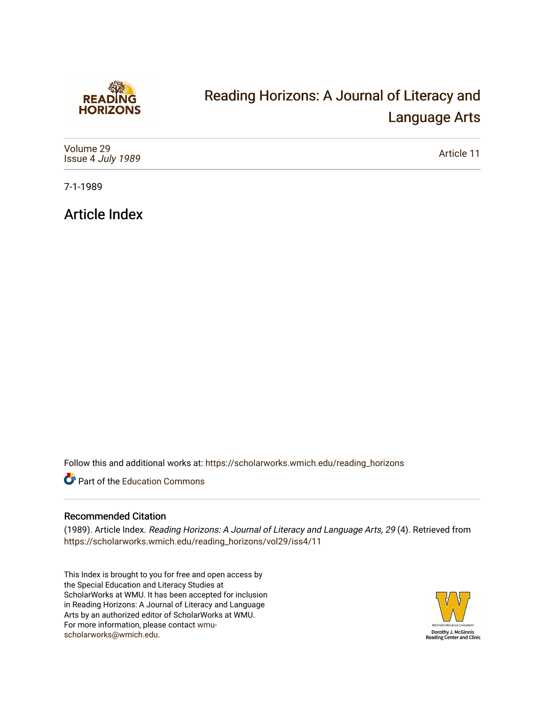

## [Reading Horizons: A Journal of Literacy and](https://scholarworks.wmich.edu/reading_horizons)  [Language Arts](https://scholarworks.wmich.edu/reading_horizons)

| Volume 29<br>Issue 4 July 1989 | Article 11 |
|--------------------------------|------------|
|--------------------------------|------------|

7-1-1989

Article Index

Follow this and additional works at: [https://scholarworks.wmich.edu/reading\\_horizons](https://scholarworks.wmich.edu/reading_horizons?utm_source=scholarworks.wmich.edu%2Freading_horizons%2Fvol29%2Fiss4%2F11&utm_medium=PDF&utm_campaign=PDFCoverPages)

Part of the [Education Commons](http://network.bepress.com/hgg/discipline/784?utm_source=scholarworks.wmich.edu%2Freading_horizons%2Fvol29%2Fiss4%2F11&utm_medium=PDF&utm_campaign=PDFCoverPages)

## Recommended Citation

(1989). Article Index. Reading Horizons: A Journal of Literacy and Language Arts, 29 (4). Retrieved from [https://scholarworks.wmich.edu/reading\\_horizons/vol29/iss4/11](https://scholarworks.wmich.edu/reading_horizons/vol29/iss4/11?utm_source=scholarworks.wmich.edu%2Freading_horizons%2Fvol29%2Fiss4%2F11&utm_medium=PDF&utm_campaign=PDFCoverPages) 

This Index is brought to you for free and open access by the Special Education and Literacy Studies at ScholarWorks at WMU. It has been accepted for inclusion in Reading Horizons: A Journal of Literacy and Language Arts by an authorized editor of ScholarWorks at WMU. For more information, please contact [wmu](mailto:wmu-scholarworks@wmich.edu)[scholarworks@wmich.edu.](mailto:wmu-scholarworks@wmich.edu)

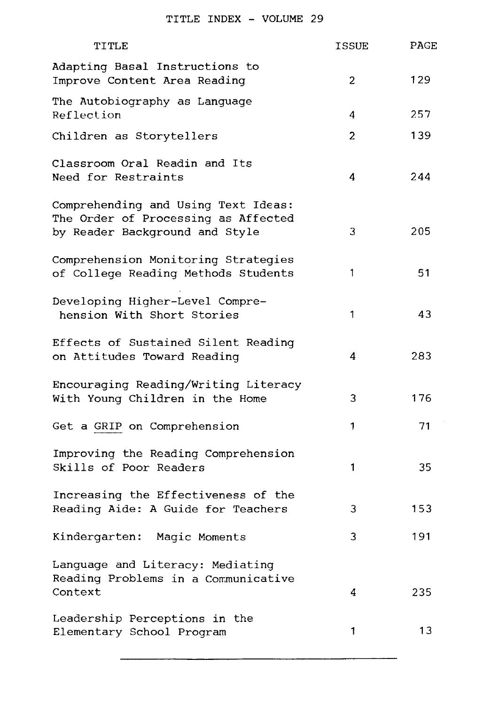| TITLE                                                                                                        | ISSUE          | PAGE |
|--------------------------------------------------------------------------------------------------------------|----------------|------|
| Adapting Basal Instructions to<br>Improve Content Area Reading                                               | 2              | 129  |
| The Autobiography as Language<br>Reflection                                                                  | 4              | 257  |
| Children as Storytellers                                                                                     | $\overline{c}$ | 139  |
| Classroom Oral Readin and Its<br>Need for Restraints                                                         | 4              | 244  |
| Comprehending and Using Text Ideas:<br>The Order of Processing as Affected<br>by Reader Background and Style | 3              | 205  |
| Comprehension Monitoring Strategies<br>of College Reading Methods Students                                   | 1              | 51   |
| Developing Higher-Level Compre-<br>hension With Short Stories                                                | 1              | 43   |
| Effects of Sustained Silent Reading<br>on Attitudes Toward Reading                                           | 4              | 283  |
| Encouraging Reading/Writing Literacy<br>With Young Children in the Home                                      | 3              | 176  |
| Get a GRIP on Comprehension                                                                                  | 1              | 71   |
| Improving the Reading Comprehension<br>Skills of Poor Readers                                                | 1              | 35   |
| Increasing the Effectiveness of the<br>Reading Aide: A Guide for Teachers                                    | 3              | 153  |
| Kindergarten: Magic Moments                                                                                  | 3              | 191  |
| Language and Literacy: Mediating<br>Reading Problems in a Communicative                                      |                |      |
| Context                                                                                                      | 4              | 235  |
| Leadership Perceptions in the<br>Elementary School Program                                                   | 1              | 13   |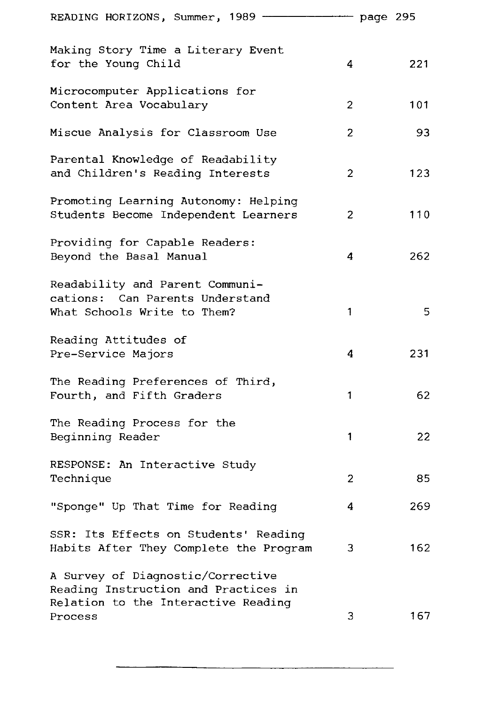| READING HORIZONS, Summer, 1989 -                                                                                                 | page 295 |     |
|----------------------------------------------------------------------------------------------------------------------------------|----------|-----|
| Making Story Time a Literary Event<br>for the Young Child<br>4                                                                   |          | 221 |
| Microcomputer Applications for<br>Content Area Vocabulary<br>$\overline{2}$                                                      |          | 101 |
| Miscue Analysis for Classroom Use<br>2                                                                                           |          | 93  |
| Parental Knowledge of Readability<br>and Children's Reading Interests<br>$\overline{c}$                                          |          | 123 |
| Promoting Learning Autonomy: Helping<br>Students Become Independent Learners<br>$\overline{c}$                                   |          | 110 |
| Providing for Capable Readers:<br>Beyond the Basal Manual<br>4                                                                   |          | 262 |
| Readability and Parent Communi-<br>cations: Can Parents Understand<br>What Schools Write to Them?<br>1                           |          | 5   |
| Reading Attitudes of<br>4<br>Pre-Service Majors                                                                                  |          | 231 |
| The Reading Preferences of Third,<br>Fourth, and Fifth Graders<br>1                                                              |          | 62  |
| The Reading Process for the<br>Beginning Reader<br>1                                                                             |          | 22  |
| RESPONSE: An Interactive Study<br>Technique<br>$\overline{2}$                                                                    |          | 85  |
| "Sponge" Up That Time for Reading<br>4                                                                                           |          | 269 |
| SSR: Its Effects on Students' Reading<br>Habits After They Complete the Program<br>З                                             |          | 162 |
| A Survey of Diagnostic/Corrective<br>Reading Instruction and Practices in<br>Relation to the Interactive Reading<br>3<br>Process |          | 167 |